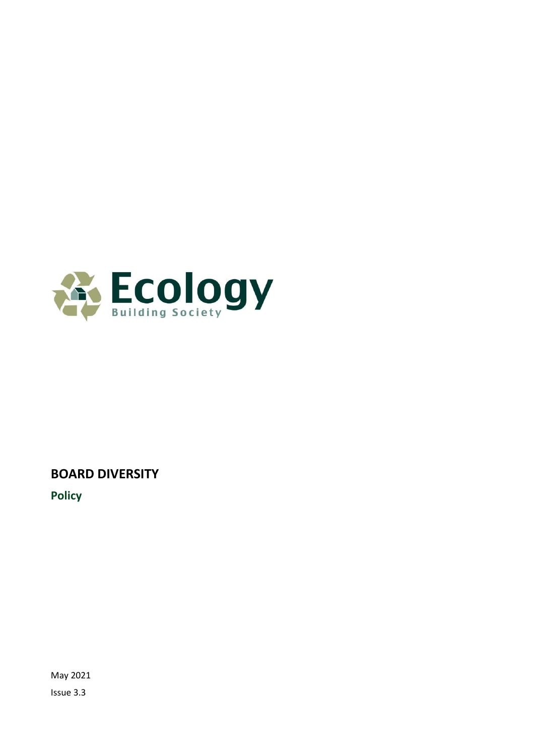

# **BOARD DIVERSITY**

**Policy**

May 2021 Issue 3.3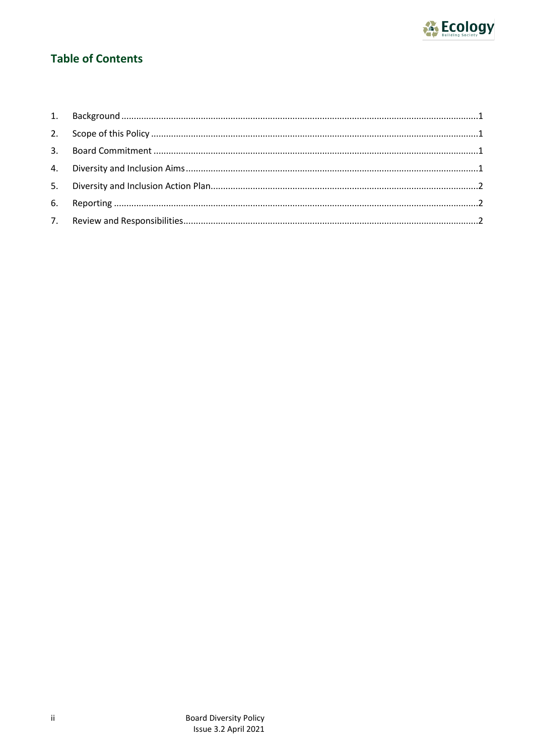

# **Table of Contents**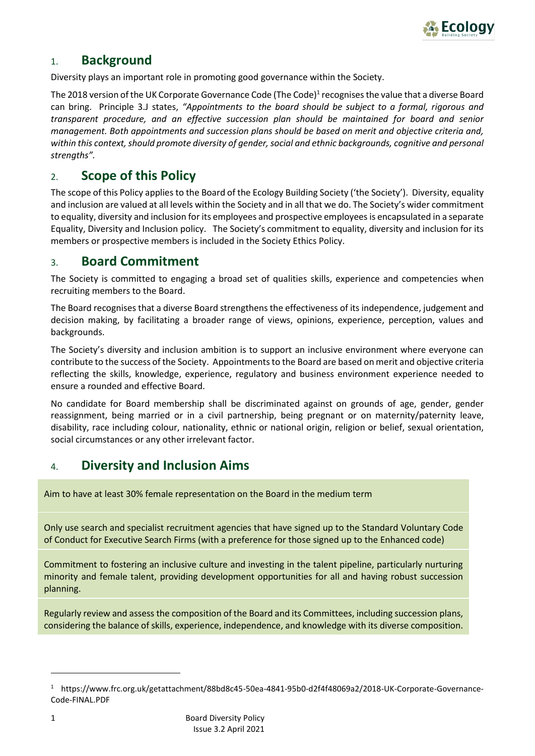

### <span id="page-2-0"></span>1. **Background**

Diversity plays an important role in promoting good governance within the Society.

The 2018 version of the UK Corporate Governance Code (The Code) $^1$  recognises the value that a diverse Board can bring. Principle 3.J states, *"Appointments to the board should be subject to a formal, rigorous and transparent procedure, and an effective succession plan should be maintained for board and senior management. Both appointments and succession plans should be based on merit and objective criteria and,*  within this context, should promote diversity of gender, social and ethnic backgrounds, cognitive and personal *strengths".*

### <span id="page-2-1"></span>2. **Scope of this Policy**

The scope of this Policy applies to the Board of the Ecology Building Society ('the Society'). Diversity, equality and inclusion are valued at all levels within the Society and in all that we do. The Society's wider commitment to equality, diversity and inclusion for its employees and prospective employees is encapsulated in a separate Equality, Diversity and Inclusion policy. The Society's commitment to equality, diversity and inclusion for its members or prospective members is included in the Society Ethics Policy.

#### <span id="page-2-2"></span>3. **Board Commitment**

The Society is committed to engaging a broad set of qualities skills, experience and competencies when recruiting members to the Board.

The Board recognises that a diverse Board strengthens the effectiveness of its independence, judgement and decision making, by facilitating a broader range of views, opinions, experience, perception, values and backgrounds.

The Society's diversity and inclusion ambition is to support an inclusive environment where everyone can contribute to the success of the Society. Appointments to the Board are based on merit and objective criteria reflecting the skills, knowledge, experience, regulatory and business environment experience needed to ensure a rounded and effective Board.

No candidate for Board membership shall be discriminated against on grounds of age, gender, gender reassignment, being married or in a civil partnership, being pregnant or on maternity/paternity leave, disability, race including colour, nationality, ethnic or national origin, religion or belief, sexual orientation, social circumstances or any other irrelevant factor.

### <span id="page-2-3"></span>4. **Diversity and Inclusion Aims**

Aim to have at least 30% female representation on the Board in the medium term

Only use search and specialist recruitment agencies that have signed up to the Standard Voluntary Code of Conduct for Executive Search Firms (with a preference for those signed up to the Enhanced code)

Commitment to fostering an inclusive culture and investing in the talent pipeline, particularly nurturing minority and female talent, providing development opportunities for all and having robust succession planning.

Regularly review and assess the composition of the Board and its Committees, including succession plans, considering the balance of skills, experience, independence, and knowledge with its diverse composition.

<sup>1</sup> https://www.frc.org.uk/getattachment/88bd8c45-50ea-4841-95b0-d2f4f48069a2/2018-UK-Corporate-Governance-Code-FINAL.PDF